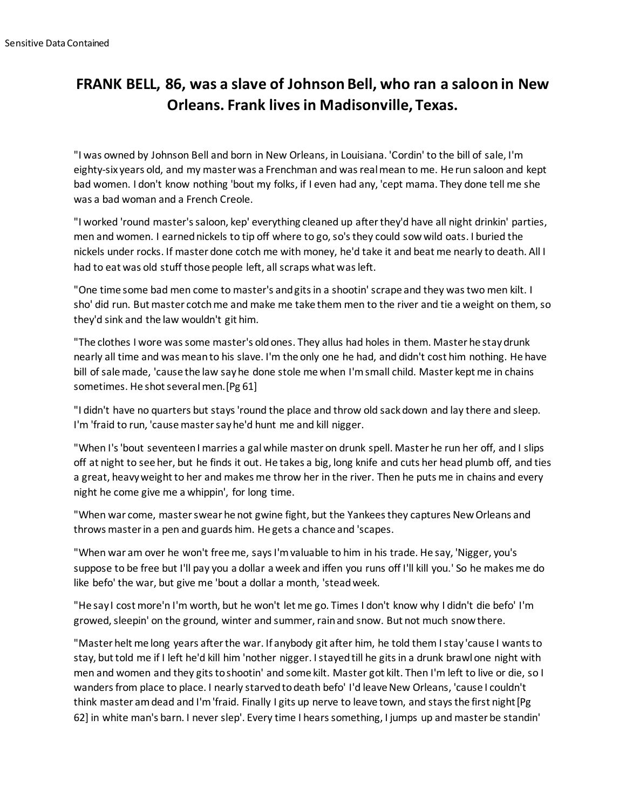## **FRANK BELL, 86, was a slave of Johnson Bell, who ran a saloon in New Orleans. Frank lives in Madisonville, Texas.**

"I was owned by Johnson Bell and born in New Orleans, in Louisiana. 'Cordin' to the bill of sale, I'm eighty-six years old, and my master was a Frenchman and was real mean to me. He run saloon and kept bad women. I don't know nothing 'bout my folks, if I even had any, 'cept mama. They done tell me she was a bad woman and a French Creole.

"I worked 'round master's saloon, kep' everything cleaned up after they'd have all night drinkin' parties, men and women. I earned nickels to tip off where to go, so's they could sow wild oats. I buried the nickels under rocks. If master done cotch me with money, he'd take it and beat me nearly to death. All I had to eat was old stuff those people left, all scraps what was left.

"One time some bad men come to master's and gits in a shootin' scrape and they was two men kilt. I sho' did run. But master cotch me and make me take them men to the river and tie a weight on them, so they'd sink and the law wouldn't git him.

"The clothes I wore was some master's old ones. They allus had holes in them. Master he stay drunk nearly all time and was mean to his slave. I'm the only one he had, and didn't cost him nothing. He have bill of sale made, 'cause the law say he done stole me when I'm small child. Master kept me in chains sometimes. He shot several men.[Pg 61]

"I didn't have no quarters but stays 'round the place and throw old sack down and lay there and sleep. I'm 'fraid to run, 'cause master say he'd hunt me and kill nigger.

"When I's 'bout seventeen I marries a gal while master on drunk spell. Master he run her off, and I slips off at night to see her, but he finds it out. He takes a big, long knife and cuts her head plumb off, and ties a great, heavy weight to her and makes me throw her in the river. Then he puts me in chains and every night he come give me a whippin', for long time.

"When war come, master swear he not gwine fight, but the Yankees they captures New Orleans and throws master in a pen and guards him. He gets a chance and 'scapes.

"When war am over he won't free me, says I'm valuable to him in his trade. He say, 'Nigger, you's suppose to be free but I'll pay you a dollar a week and iffen you runs off I'll kill you.' So he makes me do like befo' the war, but give me 'bout a dollar a month, 'stead week.

"He say I cost more'n I'm worth, but he won't let me go. Times I don't know why I didn't die befo' I'm growed, sleepin' on the ground, winter and summer, rain and snow. But not much snow there.

"Master helt me long years after the war. If anybody git after him, he told them I stay 'cause I wants to stay, but told me if I left he'd kill him 'nother nigger. I stayed till he gits in a drunk brawl one night with men and women and they gits to shootin' and some kilt. Master got kilt. Then I'm left to live or die, so I wanders from place to place. I nearly starved to death befo' I'd leave New Orleans, 'cause I couldn't think master am dead and I'm 'fraid. Finally I gits up nerve to leave town, and stays the first night[Pg 62] in white man's barn. I never slep'. Every time I hears something, I jumps up and master be standin'